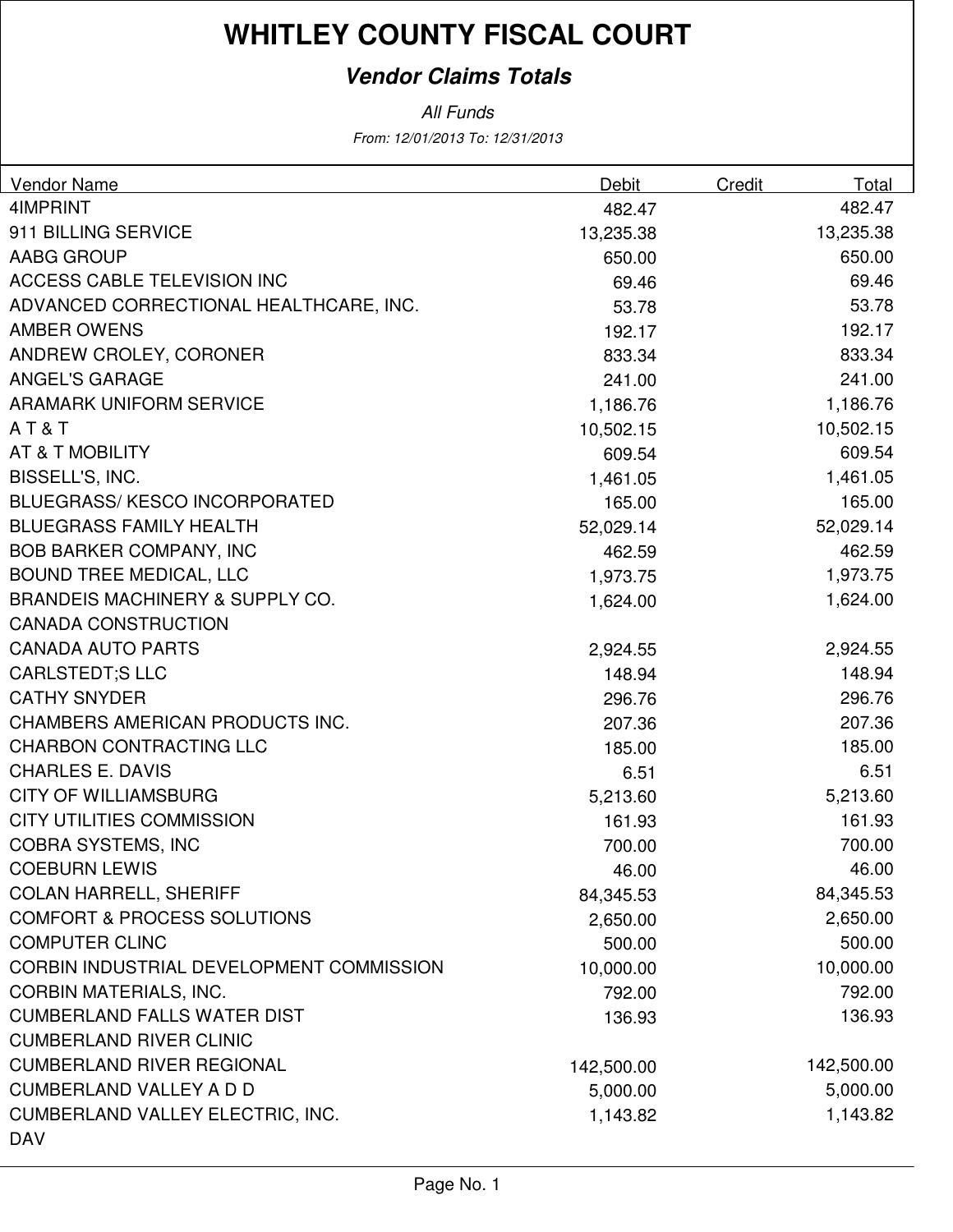### **Vendor Claims Totals**

| <b>Vendor Name</b>                         | Debit      | Credit | Total      |
|--------------------------------------------|------------|--------|------------|
| 4IMPRINT                                   | 482.47     |        | 482.47     |
| 911 BILLING SERVICE                        | 13,235.38  |        | 13,235.38  |
| AABG GROUP                                 | 650.00     |        | 650.00     |
| ACCESS CABLE TELEVISION INC                | 69.46      |        | 69.46      |
| ADVANCED CORRECTIONAL HEALTHCARE, INC.     | 53.78      |        | 53.78      |
| AMBER OWENS                                | 192.17     |        | 192.17     |
| ANDREW CROLEY, CORONER                     | 833.34     |        | 833.34     |
| <b>ANGEL'S GARAGE</b>                      | 241.00     |        | 241.00     |
| <b>ARAMARK UNIFORM SERVICE</b>             | 1,186.76   |        | 1,186.76   |
| AT&T                                       | 10,502.15  |        | 10,502.15  |
| AT & T MOBILITY                            | 609.54     |        | 609.54     |
| BISSELL'S, INC.                            | 1,461.05   |        | 1,461.05   |
| <b>BLUEGRASS/KESCO INCORPORATED</b>        | 165.00     |        | 165.00     |
| <b>BLUEGRASS FAMILY HEALTH</b>             | 52,029.14  |        | 52,029.14  |
| <b>BOB BARKER COMPANY, INC</b>             | 462.59     |        | 462.59     |
| <b>BOUND TREE MEDICAL, LLC</b>             | 1,973.75   |        | 1,973.75   |
| <b>BRANDEIS MACHINERY &amp; SUPPLY CO.</b> | 1,624.00   |        | 1,624.00   |
| <b>CANADA CONSTRUCTION</b>                 |            |        |            |
| <b>CANADA AUTO PARTS</b>                   | 2,924.55   |        | 2,924.55   |
| <b>CARLSTEDT;S LLC</b>                     | 148.94     |        | 148.94     |
| <b>CATHY SNYDER</b>                        | 296.76     |        | 296.76     |
| CHAMBERS AMERICAN PRODUCTS INC.            | 207.36     |        | 207.36     |
| <b>CHARBON CONTRACTING LLC</b>             | 185.00     |        | 185.00     |
| <b>CHARLES E. DAVIS</b>                    | 6.51       |        | 6.51       |
| <b>CITY OF WILLIAMSBURG</b>                | 5,213.60   |        | 5,213.60   |
| <b>CITY UTILITIES COMMISSION</b>           | 161.93     |        | 161.93     |
| <b>COBRA SYSTEMS, INC</b>                  | 700.00     |        | 700.00     |
| <b>COEBURN LEWIS</b>                       | 46.00      |        | 46.00      |
| <b>COLAN HARRELL, SHERIFF</b>              | 84,345.53  |        | 84,345.53  |
| <b>COMFORT &amp; PROCESS SOLUTIONS</b>     | 2,650.00   |        | 2,650.00   |
| <b>COMPUTER CLINC</b>                      | 500.00     |        | 500.00     |
| CORBIN INDUSTRIAL DEVELOPMENT COMMISSION   | 10,000.00  |        | 10,000.00  |
| <b>CORBIN MATERIALS, INC.</b>              | 792.00     |        | 792.00     |
| <b>CUMBERLAND FALLS WATER DIST</b>         | 136.93     |        | 136.93     |
| <b>CUMBERLAND RIVER CLINIC</b>             |            |        |            |
| <b>CUMBERLAND RIVER REGIONAL</b>           | 142,500.00 |        | 142,500.00 |
| <b>CUMBERLAND VALLEY A D D</b>             | 5,000.00   |        | 5,000.00   |
| <b>CUMBERLAND VALLEY ELECTRIC, INC.</b>    | 1,143.82   |        | 1,143.82   |
| <b>DAV</b>                                 |            |        |            |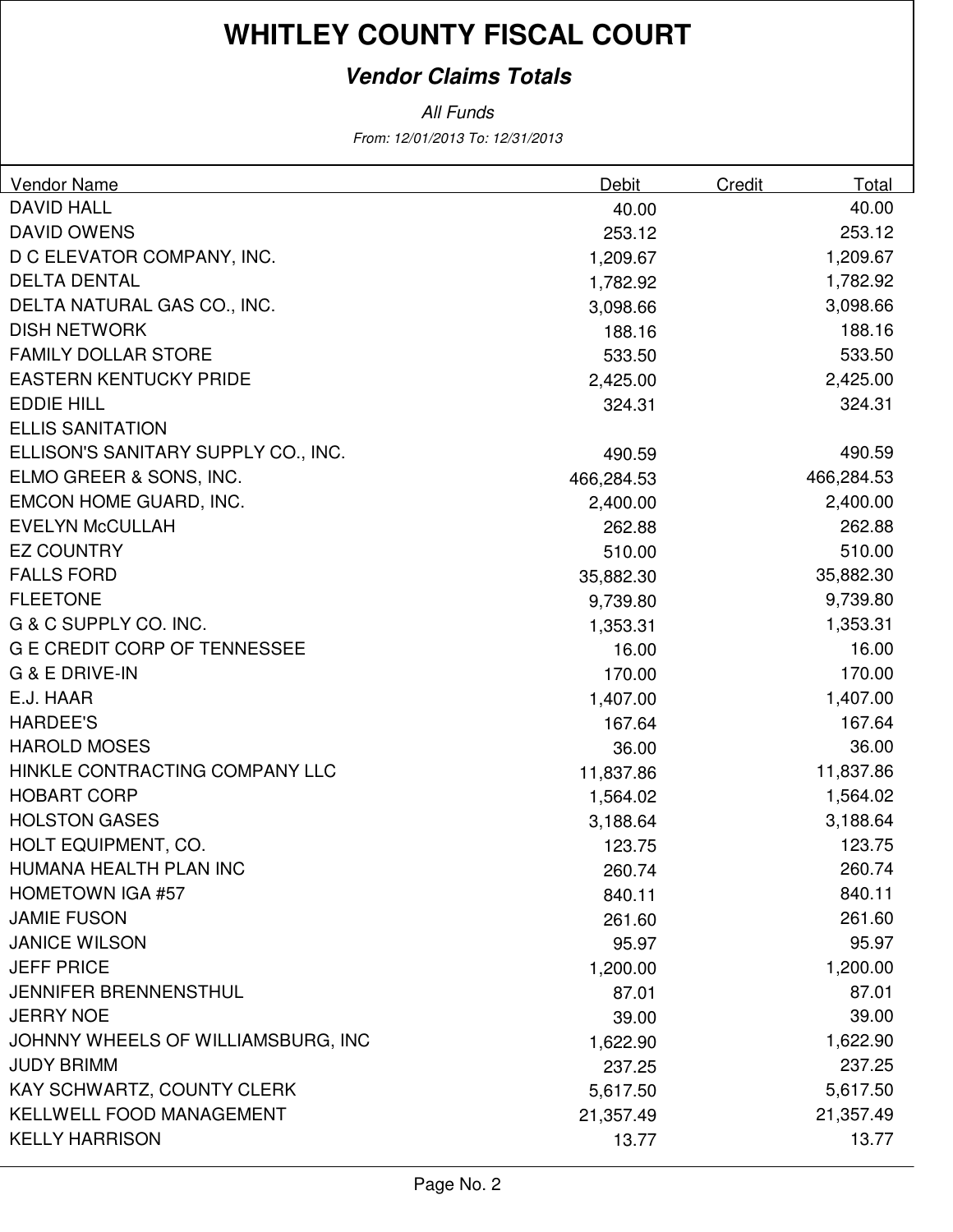### **Vendor Claims Totals**

| <b>DAVID HALL</b><br>40.00<br>40.00<br><b>DAVID OWENS</b><br>253.12<br>253.12<br>D C ELEVATOR COMPANY, INC.<br>1,209.67<br>1,209.67<br><b>DELTA DENTAL</b><br>1,782.92<br>1,782.92<br>DELTA NATURAL GAS CO., INC.<br>3,098.66<br>3,098.66<br><b>DISH NETWORK</b><br>188.16<br>188.16<br><b>FAMILY DOLLAR STORE</b><br>533.50<br>533.50<br><b>EASTERN KENTUCKY PRIDE</b><br>2,425.00<br>2,425.00<br><b>EDDIE HILL</b><br>324.31<br>324.31<br><b>ELLIS SANITATION</b><br>ELLISON'S SANITARY SUPPLY CO., INC.<br>490.59<br>490.59<br>ELMO GREER & SONS, INC.<br>466,284.53<br>466,284.53<br>EMCON HOME GUARD, INC.<br>2,400.00<br>2,400.00<br><b>EVELYN McCULLAH</b><br>262.88<br>262.88<br><b>EZ COUNTRY</b><br>510.00<br>510.00<br><b>FALLS FORD</b><br>35,882.30<br>35,882.30<br><b>FLEETONE</b><br>9,739.80<br>9,739.80<br>G & C SUPPLY CO. INC.<br>1,353.31<br>1,353.31<br><b>G E CREDIT CORP OF TENNESSEE</b><br>16.00<br>16.00<br><b>G &amp; E DRIVE-IN</b><br>170.00<br>170.00<br>E.J. HAAR<br>1,407.00<br>1,407.00<br><b>HARDEE'S</b><br>167.64<br>167.64<br><b>HAROLD MOSES</b><br>36.00<br>36.00<br>HINKLE CONTRACTING COMPANY LLC<br>11,837.86<br>11,837.86<br><b>HOBART CORP</b><br>1,564.02<br>1,564.02<br><b>HOLSTON GASES</b><br>3,188.64<br>3,188.64<br>HOLT EQUIPMENT, CO.<br>123.75<br>123.75<br>HUMANA HEALTH PLAN INC<br>260.74<br>260.74<br><b>HOMETOWN IGA #57</b><br>840.11<br>840.11<br><b>JAMIE FUSON</b><br>261.60<br>261.60<br><b>JANICE WILSON</b><br>95.97<br>95.97<br><b>JEFF PRICE</b><br>1,200.00<br>1,200.00<br>JENNIFER BRENNENSTHUL<br>87.01<br>87.01<br><b>JERRY NOE</b><br>39.00<br>39.00<br>JOHNNY WHEELS OF WILLIAMSBURG, INC<br>1,622.90<br>1,622.90<br><b>JUDY BRIMM</b><br>237.25<br>237.25 | <b>Vendor Name</b>         | Debit    | Credit | Total    |
|-------------------------------------------------------------------------------------------------------------------------------------------------------------------------------------------------------------------------------------------------------------------------------------------------------------------------------------------------------------------------------------------------------------------------------------------------------------------------------------------------------------------------------------------------------------------------------------------------------------------------------------------------------------------------------------------------------------------------------------------------------------------------------------------------------------------------------------------------------------------------------------------------------------------------------------------------------------------------------------------------------------------------------------------------------------------------------------------------------------------------------------------------------------------------------------------------------------------------------------------------------------------------------------------------------------------------------------------------------------------------------------------------------------------------------------------------------------------------------------------------------------------------------------------------------------------------------------------------------------------------------------------------------------------------------------------------------------------------------------|----------------------------|----------|--------|----------|
|                                                                                                                                                                                                                                                                                                                                                                                                                                                                                                                                                                                                                                                                                                                                                                                                                                                                                                                                                                                                                                                                                                                                                                                                                                                                                                                                                                                                                                                                                                                                                                                                                                                                                                                                     |                            |          |        |          |
|                                                                                                                                                                                                                                                                                                                                                                                                                                                                                                                                                                                                                                                                                                                                                                                                                                                                                                                                                                                                                                                                                                                                                                                                                                                                                                                                                                                                                                                                                                                                                                                                                                                                                                                                     |                            |          |        |          |
|                                                                                                                                                                                                                                                                                                                                                                                                                                                                                                                                                                                                                                                                                                                                                                                                                                                                                                                                                                                                                                                                                                                                                                                                                                                                                                                                                                                                                                                                                                                                                                                                                                                                                                                                     |                            |          |        |          |
|                                                                                                                                                                                                                                                                                                                                                                                                                                                                                                                                                                                                                                                                                                                                                                                                                                                                                                                                                                                                                                                                                                                                                                                                                                                                                                                                                                                                                                                                                                                                                                                                                                                                                                                                     |                            |          |        |          |
|                                                                                                                                                                                                                                                                                                                                                                                                                                                                                                                                                                                                                                                                                                                                                                                                                                                                                                                                                                                                                                                                                                                                                                                                                                                                                                                                                                                                                                                                                                                                                                                                                                                                                                                                     |                            |          |        |          |
|                                                                                                                                                                                                                                                                                                                                                                                                                                                                                                                                                                                                                                                                                                                                                                                                                                                                                                                                                                                                                                                                                                                                                                                                                                                                                                                                                                                                                                                                                                                                                                                                                                                                                                                                     |                            |          |        |          |
|                                                                                                                                                                                                                                                                                                                                                                                                                                                                                                                                                                                                                                                                                                                                                                                                                                                                                                                                                                                                                                                                                                                                                                                                                                                                                                                                                                                                                                                                                                                                                                                                                                                                                                                                     |                            |          |        |          |
|                                                                                                                                                                                                                                                                                                                                                                                                                                                                                                                                                                                                                                                                                                                                                                                                                                                                                                                                                                                                                                                                                                                                                                                                                                                                                                                                                                                                                                                                                                                                                                                                                                                                                                                                     |                            |          |        |          |
|                                                                                                                                                                                                                                                                                                                                                                                                                                                                                                                                                                                                                                                                                                                                                                                                                                                                                                                                                                                                                                                                                                                                                                                                                                                                                                                                                                                                                                                                                                                                                                                                                                                                                                                                     |                            |          |        |          |
|                                                                                                                                                                                                                                                                                                                                                                                                                                                                                                                                                                                                                                                                                                                                                                                                                                                                                                                                                                                                                                                                                                                                                                                                                                                                                                                                                                                                                                                                                                                                                                                                                                                                                                                                     |                            |          |        |          |
|                                                                                                                                                                                                                                                                                                                                                                                                                                                                                                                                                                                                                                                                                                                                                                                                                                                                                                                                                                                                                                                                                                                                                                                                                                                                                                                                                                                                                                                                                                                                                                                                                                                                                                                                     |                            |          |        |          |
|                                                                                                                                                                                                                                                                                                                                                                                                                                                                                                                                                                                                                                                                                                                                                                                                                                                                                                                                                                                                                                                                                                                                                                                                                                                                                                                                                                                                                                                                                                                                                                                                                                                                                                                                     |                            |          |        |          |
|                                                                                                                                                                                                                                                                                                                                                                                                                                                                                                                                                                                                                                                                                                                                                                                                                                                                                                                                                                                                                                                                                                                                                                                                                                                                                                                                                                                                                                                                                                                                                                                                                                                                                                                                     |                            |          |        |          |
|                                                                                                                                                                                                                                                                                                                                                                                                                                                                                                                                                                                                                                                                                                                                                                                                                                                                                                                                                                                                                                                                                                                                                                                                                                                                                                                                                                                                                                                                                                                                                                                                                                                                                                                                     |                            |          |        |          |
|                                                                                                                                                                                                                                                                                                                                                                                                                                                                                                                                                                                                                                                                                                                                                                                                                                                                                                                                                                                                                                                                                                                                                                                                                                                                                                                                                                                                                                                                                                                                                                                                                                                                                                                                     |                            |          |        |          |
|                                                                                                                                                                                                                                                                                                                                                                                                                                                                                                                                                                                                                                                                                                                                                                                                                                                                                                                                                                                                                                                                                                                                                                                                                                                                                                                                                                                                                                                                                                                                                                                                                                                                                                                                     |                            |          |        |          |
|                                                                                                                                                                                                                                                                                                                                                                                                                                                                                                                                                                                                                                                                                                                                                                                                                                                                                                                                                                                                                                                                                                                                                                                                                                                                                                                                                                                                                                                                                                                                                                                                                                                                                                                                     |                            |          |        |          |
|                                                                                                                                                                                                                                                                                                                                                                                                                                                                                                                                                                                                                                                                                                                                                                                                                                                                                                                                                                                                                                                                                                                                                                                                                                                                                                                                                                                                                                                                                                                                                                                                                                                                                                                                     |                            |          |        |          |
|                                                                                                                                                                                                                                                                                                                                                                                                                                                                                                                                                                                                                                                                                                                                                                                                                                                                                                                                                                                                                                                                                                                                                                                                                                                                                                                                                                                                                                                                                                                                                                                                                                                                                                                                     |                            |          |        |          |
|                                                                                                                                                                                                                                                                                                                                                                                                                                                                                                                                                                                                                                                                                                                                                                                                                                                                                                                                                                                                                                                                                                                                                                                                                                                                                                                                                                                                                                                                                                                                                                                                                                                                                                                                     |                            |          |        |          |
|                                                                                                                                                                                                                                                                                                                                                                                                                                                                                                                                                                                                                                                                                                                                                                                                                                                                                                                                                                                                                                                                                                                                                                                                                                                                                                                                                                                                                                                                                                                                                                                                                                                                                                                                     |                            |          |        |          |
|                                                                                                                                                                                                                                                                                                                                                                                                                                                                                                                                                                                                                                                                                                                                                                                                                                                                                                                                                                                                                                                                                                                                                                                                                                                                                                                                                                                                                                                                                                                                                                                                                                                                                                                                     |                            |          |        |          |
|                                                                                                                                                                                                                                                                                                                                                                                                                                                                                                                                                                                                                                                                                                                                                                                                                                                                                                                                                                                                                                                                                                                                                                                                                                                                                                                                                                                                                                                                                                                                                                                                                                                                                                                                     |                            |          |        |          |
|                                                                                                                                                                                                                                                                                                                                                                                                                                                                                                                                                                                                                                                                                                                                                                                                                                                                                                                                                                                                                                                                                                                                                                                                                                                                                                                                                                                                                                                                                                                                                                                                                                                                                                                                     |                            |          |        |          |
|                                                                                                                                                                                                                                                                                                                                                                                                                                                                                                                                                                                                                                                                                                                                                                                                                                                                                                                                                                                                                                                                                                                                                                                                                                                                                                                                                                                                                                                                                                                                                                                                                                                                                                                                     |                            |          |        |          |
|                                                                                                                                                                                                                                                                                                                                                                                                                                                                                                                                                                                                                                                                                                                                                                                                                                                                                                                                                                                                                                                                                                                                                                                                                                                                                                                                                                                                                                                                                                                                                                                                                                                                                                                                     |                            |          |        |          |
|                                                                                                                                                                                                                                                                                                                                                                                                                                                                                                                                                                                                                                                                                                                                                                                                                                                                                                                                                                                                                                                                                                                                                                                                                                                                                                                                                                                                                                                                                                                                                                                                                                                                                                                                     |                            |          |        |          |
|                                                                                                                                                                                                                                                                                                                                                                                                                                                                                                                                                                                                                                                                                                                                                                                                                                                                                                                                                                                                                                                                                                                                                                                                                                                                                                                                                                                                                                                                                                                                                                                                                                                                                                                                     |                            |          |        |          |
|                                                                                                                                                                                                                                                                                                                                                                                                                                                                                                                                                                                                                                                                                                                                                                                                                                                                                                                                                                                                                                                                                                                                                                                                                                                                                                                                                                                                                                                                                                                                                                                                                                                                                                                                     |                            |          |        |          |
|                                                                                                                                                                                                                                                                                                                                                                                                                                                                                                                                                                                                                                                                                                                                                                                                                                                                                                                                                                                                                                                                                                                                                                                                                                                                                                                                                                                                                                                                                                                                                                                                                                                                                                                                     |                            |          |        |          |
|                                                                                                                                                                                                                                                                                                                                                                                                                                                                                                                                                                                                                                                                                                                                                                                                                                                                                                                                                                                                                                                                                                                                                                                                                                                                                                                                                                                                                                                                                                                                                                                                                                                                                                                                     |                            |          |        |          |
|                                                                                                                                                                                                                                                                                                                                                                                                                                                                                                                                                                                                                                                                                                                                                                                                                                                                                                                                                                                                                                                                                                                                                                                                                                                                                                                                                                                                                                                                                                                                                                                                                                                                                                                                     |                            |          |        |          |
|                                                                                                                                                                                                                                                                                                                                                                                                                                                                                                                                                                                                                                                                                                                                                                                                                                                                                                                                                                                                                                                                                                                                                                                                                                                                                                                                                                                                                                                                                                                                                                                                                                                                                                                                     |                            |          |        |          |
|                                                                                                                                                                                                                                                                                                                                                                                                                                                                                                                                                                                                                                                                                                                                                                                                                                                                                                                                                                                                                                                                                                                                                                                                                                                                                                                                                                                                                                                                                                                                                                                                                                                                                                                                     |                            |          |        |          |
|                                                                                                                                                                                                                                                                                                                                                                                                                                                                                                                                                                                                                                                                                                                                                                                                                                                                                                                                                                                                                                                                                                                                                                                                                                                                                                                                                                                                                                                                                                                                                                                                                                                                                                                                     |                            |          |        |          |
|                                                                                                                                                                                                                                                                                                                                                                                                                                                                                                                                                                                                                                                                                                                                                                                                                                                                                                                                                                                                                                                                                                                                                                                                                                                                                                                                                                                                                                                                                                                                                                                                                                                                                                                                     |                            |          |        |          |
|                                                                                                                                                                                                                                                                                                                                                                                                                                                                                                                                                                                                                                                                                                                                                                                                                                                                                                                                                                                                                                                                                                                                                                                                                                                                                                                                                                                                                                                                                                                                                                                                                                                                                                                                     | KAY SCHWARTZ, COUNTY CLERK | 5,617.50 |        | 5,617.50 |
| KELLWELL FOOD MANAGEMENT<br>21,357.49<br>21,357.49                                                                                                                                                                                                                                                                                                                                                                                                                                                                                                                                                                                                                                                                                                                                                                                                                                                                                                                                                                                                                                                                                                                                                                                                                                                                                                                                                                                                                                                                                                                                                                                                                                                                                  |                            |          |        |          |
| <b>KELLY HARRISON</b><br>13.77<br>13.77                                                                                                                                                                                                                                                                                                                                                                                                                                                                                                                                                                                                                                                                                                                                                                                                                                                                                                                                                                                                                                                                                                                                                                                                                                                                                                                                                                                                                                                                                                                                                                                                                                                                                             |                            |          |        |          |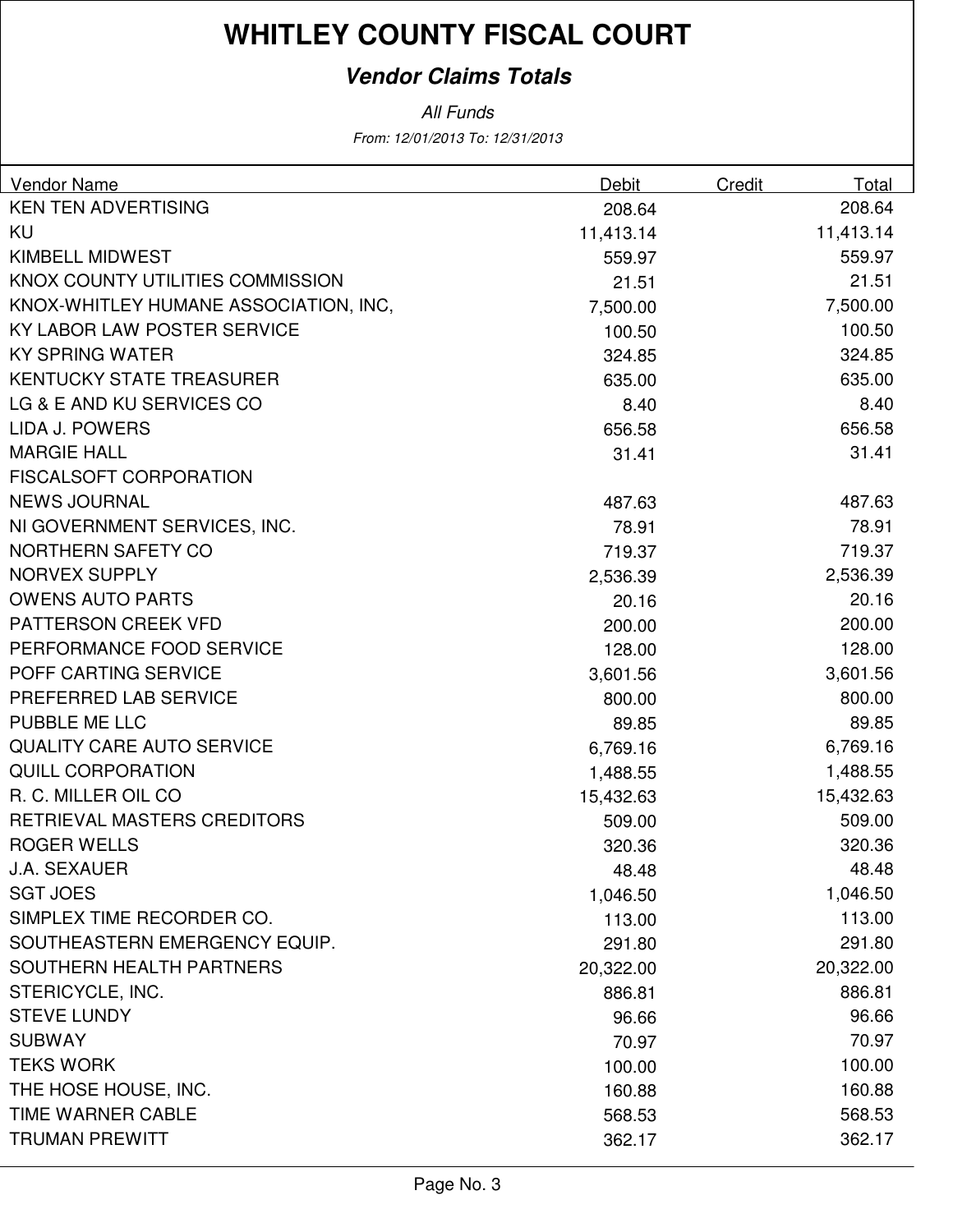### **Vendor Claims Totals**

| Vendor Name                           | Debit     | Credit<br>Total |
|---------------------------------------|-----------|-----------------|
| <b>KEN TEN ADVERTISING</b>            | 208.64    | 208.64          |
| <b>KU</b>                             | 11,413.14 | 11,413.14       |
| KIMBELL MIDWEST                       | 559.97    | 559.97          |
| KNOX COUNTY UTILITIES COMMISSION      | 21.51     | 21.51           |
| KNOX-WHITLEY HUMANE ASSOCIATION, INC, | 7,500.00  | 7,500.00        |
| KY LABOR LAW POSTER SERVICE           | 100.50    | 100.50          |
| <b>KY SPRING WATER</b>                | 324.85    | 324.85          |
| <b>KENTUCKY STATE TREASURER</b>       | 635.00    | 635.00          |
| LG & E AND KU SERVICES CO             | 8.40      | 8.40            |
| LIDA J. POWERS                        | 656.58    | 656.58          |
| <b>MARGIE HALL</b>                    | 31.41     | 31.41           |
| <b>FISCALSOFT CORPORATION</b>         |           |                 |
| <b>NEWS JOURNAL</b>                   | 487.63    | 487.63          |
| NI GOVERNMENT SERVICES, INC.          | 78.91     | 78.91           |
| NORTHERN SAFETY CO                    | 719.37    | 719.37          |
| <b>NORVEX SUPPLY</b>                  | 2,536.39  | 2,536.39        |
| <b>OWENS AUTO PARTS</b>               | 20.16     | 20.16           |
| PATTERSON CREEK VFD                   | 200.00    | 200.00          |
| PERFORMANCE FOOD SERVICE              | 128.00    | 128.00          |
| POFF CARTING SERVICE                  | 3,601.56  | 3,601.56        |
| PREFERRED LAB SERVICE                 | 800.00    | 800.00          |
| PUBBLE ME LLC                         | 89.85     | 89.85           |
| <b>QUALITY CARE AUTO SERVICE</b>      | 6,769.16  | 6,769.16        |
| <b>QUILL CORPORATION</b>              | 1,488.55  | 1,488.55        |
| R. C. MILLER OIL CO                   | 15,432.63 | 15,432.63       |
| RETRIEVAL MASTERS CREDITORS           | 509.00    | 509.00          |
| <b>ROGER WELLS</b>                    | 320.36    | 320.36          |
| <b>J.A. SEXAUER</b>                   | 48.48     | 48.48           |
| <b>SGT JOES</b>                       | 1,046.50  | 1,046.50        |
| SIMPLEX TIME RECORDER CO.             | 113.00    | 113.00          |
| SOUTHEASTERN EMERGENCY EQUIP.         | 291.80    | 291.80          |
| SOUTHERN HEALTH PARTNERS              | 20,322.00 | 20,322.00       |
| STERICYCLE, INC.                      | 886.81    | 886.81          |
| <b>STEVE LUNDY</b>                    | 96.66     | 96.66           |
| <b>SUBWAY</b>                         | 70.97     | 70.97           |
| <b>TEKS WORK</b>                      | 100.00    | 100.00          |
| THE HOSE HOUSE, INC.                  | 160.88    | 160.88          |
| <b>TIME WARNER CABLE</b>              | 568.53    | 568.53          |
| <b>TRUMAN PREWITT</b>                 | 362.17    | 362.17          |